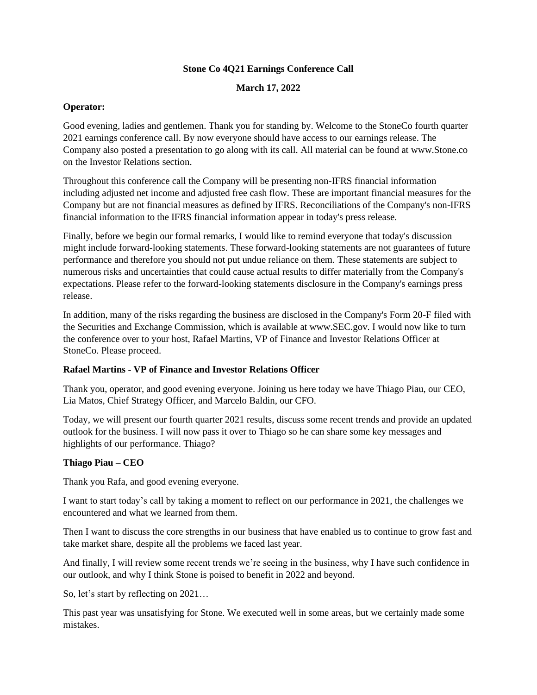### **Stone Co 4Q21 Earnings Conference Call**

**March 17, 2022**

### **Operator:**

Good evening, ladies and gentlemen. Thank you for standing by. Welcome to the StoneCo fourth quarter 2021 earnings conference call. By now everyone should have access to our earnings release. The Company also posted a presentation to go along with its call. All material can be found at www.Stone.co on the Investor Relations section.

Throughout this conference call the Company will be presenting non-IFRS financial information including adjusted net income and adjusted free cash flow. These are important financial measures for the Company but are not financial measures as defined by IFRS. Reconciliations of the Company's non-IFRS financial information to the IFRS financial information appear in today's press release.

Finally, before we begin our formal remarks, I would like to remind everyone that today's discussion might include forward-looking statements. These forward-looking statements are not guarantees of future performance and therefore you should not put undue reliance on them. These statements are subject to numerous risks and uncertainties that could cause actual results to differ materially from the Company's expectations. Please refer to the forward-looking statements disclosure in the Company's earnings press release.

In addition, many of the risks regarding the business are disclosed in the Company's Form 20-F filed with the Securities and Exchange Commission, which is available at www.SEC.gov. I would now like to turn the conference over to your host, Rafael Martins, VP of Finance and Investor Relations Officer at StoneCo. Please proceed.

# **Rafael Martins - VP of Finance and Investor Relations Officer**

Thank you, operator, and good evening everyone. Joining us here today we have Thiago Piau, our CEO, Lia Matos, Chief Strategy Officer, and Marcelo Baldin, our CFO.

Today, we will present our fourth quarter 2021 results, discuss some recent trends and provide an updated outlook for the business. I will now pass it over to Thiago so he can share some key messages and highlights of our performance. Thiago?

# **Thiago Piau – CEO**

Thank you Rafa, and good evening everyone.

I want to start today's call by taking a moment to reflect on our performance in 2021, the challenges we encountered and what we learned from them.

Then I want to discuss the core strengths in our business that have enabled us to continue to grow fast and take market share, despite all the problems we faced last year.

And finally, I will review some recent trends we're seeing in the business, why I have such confidence in our outlook, and why I think Stone is poised to benefit in 2022 and beyond.

So, let's start by reflecting on 2021…

This past year was unsatisfying for Stone. We executed well in some areas, but we certainly made some mistakes.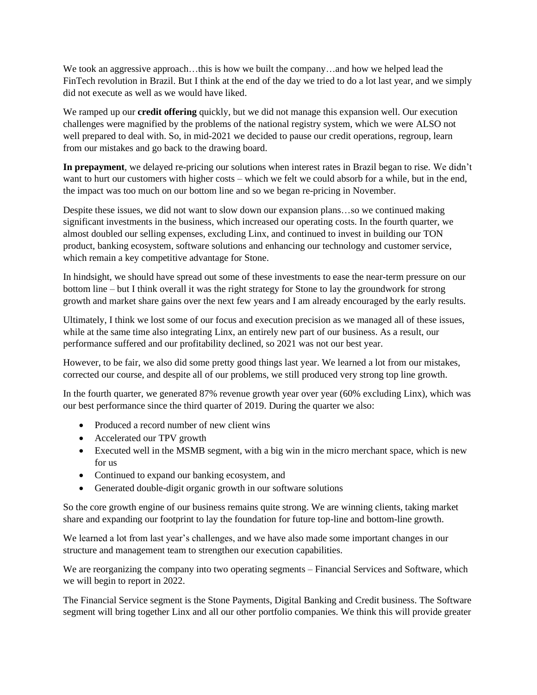We took an aggressive approach...this is how we built the company...and how we helped lead the FinTech revolution in Brazil. But I think at the end of the day we tried to do a lot last year, and we simply did not execute as well as we would have liked.

We ramped up our **credit offering** quickly, but we did not manage this expansion well. Our execution challenges were magnified by the problems of the national registry system, which we were ALSO not well prepared to deal with. So, in mid-2021 we decided to pause our credit operations, regroup, learn from our mistakes and go back to the drawing board.

**In prepayment**, we delayed re-pricing our solutions when interest rates in Brazil began to rise. We didn't want to hurt our customers with higher costs – which we felt we could absorb for a while, but in the end, the impact was too much on our bottom line and so we began re-pricing in November.

Despite these issues, we did not want to slow down our expansion plans…so we continued making significant investments in the business, which increased our operating costs. In the fourth quarter, we almost doubled our selling expenses, excluding Linx, and continued to invest in building our TON product, banking ecosystem, software solutions and enhancing our technology and customer service, which remain a key competitive advantage for Stone.

In hindsight, we should have spread out some of these investments to ease the near-term pressure on our bottom line – but I think overall it was the right strategy for Stone to lay the groundwork for strong growth and market share gains over the next few years and I am already encouraged by the early results.

Ultimately, I think we lost some of our focus and execution precision as we managed all of these issues, while at the same time also integrating Linx, an entirely new part of our business. As a result, our performance suffered and our profitability declined, so 2021 was not our best year.

However, to be fair, we also did some pretty good things last year. We learned a lot from our mistakes, corrected our course, and despite all of our problems, we still produced very strong top line growth.

In the fourth quarter, we generated 87% revenue growth year over year (60% excluding Linx), which was our best performance since the third quarter of 2019. During the quarter we also:

- Produced a record number of new client wins
- Accelerated our TPV growth
- Executed well in the MSMB segment, with a big win in the micro merchant space, which is new for us
- Continued to expand our banking ecosystem, and
- Generated double-digit organic growth in our software solutions

So the core growth engine of our business remains quite strong. We are winning clients, taking market share and expanding our footprint to lay the foundation for future top-line and bottom-line growth.

We learned a lot from last year's challenges, and we have also made some important changes in our structure and management team to strengthen our execution capabilities.

We are reorganizing the company into two operating segments – Financial Services and Software, which we will begin to report in 2022.

The Financial Service segment is the Stone Payments, Digital Banking and Credit business. The Software segment will bring together Linx and all our other portfolio companies. We think this will provide greater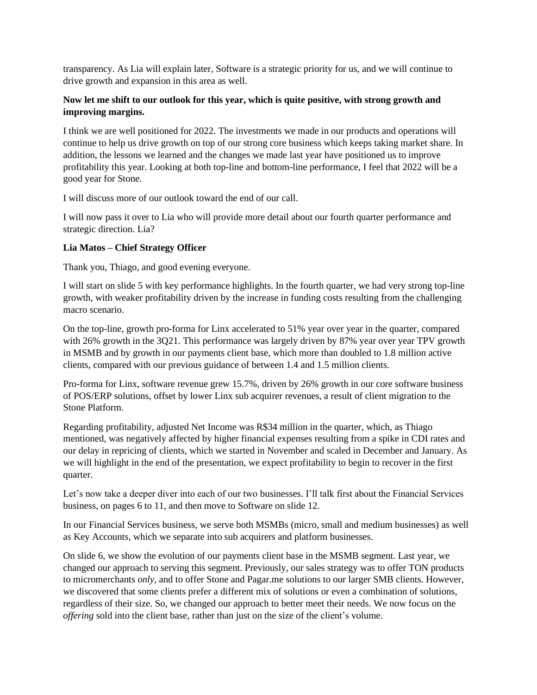transparency. As Lia will explain later, Software is a strategic priority for us, and we will continue to drive growth and expansion in this area as well.

## **Now let me shift to our outlook for this year, which is quite positive, with strong growth and improving margins.**

I think we are well positioned for 2022. The investments we made in our products and operations will continue to help us drive growth on top of our strong core business which keeps taking market share. In addition, the lessons we learned and the changes we made last year have positioned us to improve profitability this year. Looking at both top-line and bottom-line performance, I feel that 2022 will be a good year for Stone.

I will discuss more of our outlook toward the end of our call.

I will now pass it over to Lia who will provide more detail about our fourth quarter performance and strategic direction. Lia?

# **Lia Matos – Chief Strategy Officer**

Thank you, Thiago, and good evening everyone.

I will start on slide 5 with key performance highlights. In the fourth quarter, we had very strong top-line growth, with weaker profitability driven by the increase in funding costs resulting from the challenging macro scenario.

On the top-line, growth pro-forma for Linx accelerated to 51% year over year in the quarter, compared with 26% growth in the 3Q21. This performance was largely driven by 87% year over year TPV growth in MSMB and by growth in our payments client base, which more than doubled to 1.8 million active clients, compared with our previous guidance of between 1.4 and 1.5 million clients.

Pro-forma for Linx, software revenue grew 15.7%, driven by 26% growth in our core software business of POS/ERP solutions, offset by lower Linx sub acquirer revenues, a result of client migration to the Stone Platform.

Regarding profitability, adjusted Net Income was R\$34 million in the quarter, which, as Thiago mentioned, was negatively affected by higher financial expenses resulting from a spike in CDI rates and our delay in repricing of clients, which we started in November and scaled in December and January. As we will highlight in the end of the presentation, we expect profitability to begin to recover in the first quarter.

Let's now take a deeper diver into each of our two businesses. I'll talk first about the Financial Services business, on pages 6 to 11, and then move to Software on slide 12.

In our Financial Services business, we serve both MSMBs (micro, small and medium businesses) as well as Key Accounts, which we separate into sub acquirers and platform businesses.

On slide 6, we show the evolution of our payments client base in the MSMB segment. Last year, we changed our approach to serving this segment. Previously, our sales strategy was to offer TON products to micromerchants *only,* and to offer Stone and Pagar.me solutions to our larger SMB clients. However, we discovered that some clients prefer a different mix of solutions or even a combination of solutions, regardless of their size. So, we changed our approach to better meet their needs. We now focus on the *offering* sold into the client base, rather than just on the size of the client's volume.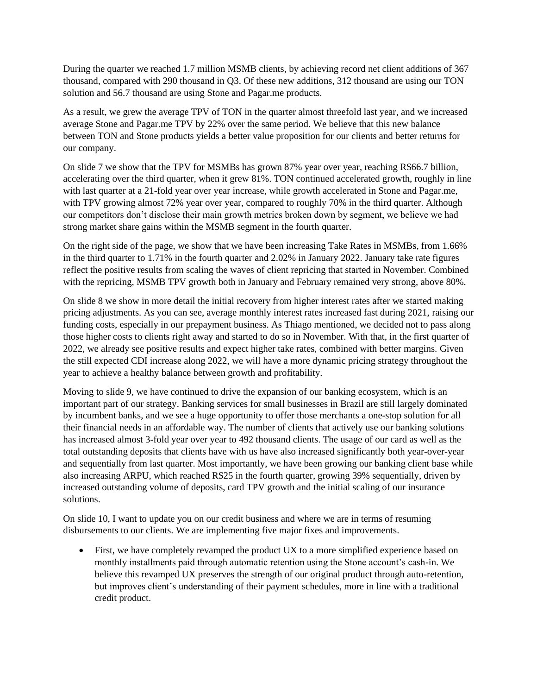During the quarter we reached 1.7 million MSMB clients, by achieving record net client additions of 367 thousand, compared with 290 thousand in Q3. Of these new additions, 312 thousand are using our TON solution and 56.7 thousand are using Stone and Pagar.me products.

As a result, we grew the average TPV of TON in the quarter almost threefold last year, and we increased average Stone and Pagar.me TPV by 22% over the same period. We believe that this new balance between TON and Stone products yields a better value proposition for our clients and better returns for our company.

On slide 7 we show that the TPV for MSMBs has grown 87% year over year, reaching R\$66.7 billion, accelerating over the third quarter, when it grew 81%. TON continued accelerated growth, roughly in line with last quarter at a 21-fold year over year increase, while growth accelerated in Stone and Pagar.me, with TPV growing almost 72% year over year, compared to roughly 70% in the third quarter. Although our competitors don't disclose their main growth metrics broken down by segment, we believe we had strong market share gains within the MSMB segment in the fourth quarter.

On the right side of the page, we show that we have been increasing Take Rates in MSMBs, from 1.66% in the third quarter to 1.71% in the fourth quarter and 2.02% in January 2022. January take rate figures reflect the positive results from scaling the waves of client repricing that started in November. Combined with the repricing, MSMB TPV growth both in January and February remained very strong, above 80%.

On slide 8 we show in more detail the initial recovery from higher interest rates after we started making pricing adjustments. As you can see, average monthly interest rates increased fast during 2021, raising our funding costs, especially in our prepayment business. As Thiago mentioned, we decided not to pass along those higher costs to clients right away and started to do so in November. With that, in the first quarter of 2022, we already see positive results and expect higher take rates, combined with better margins. Given the still expected CDI increase along 2022, we will have a more dynamic pricing strategy throughout the year to achieve a healthy balance between growth and profitability.

Moving to slide 9, we have continued to drive the expansion of our banking ecosystem, which is an important part of our strategy. Banking services for small businesses in Brazil are still largely dominated by incumbent banks, and we see a huge opportunity to offer those merchants a one-stop solution for all their financial needs in an affordable way. The number of clients that actively use our banking solutions has increased almost 3-fold year over year to 492 thousand clients. The usage of our card as well as the total outstanding deposits that clients have with us have also increased significantly both year-over-year and sequentially from last quarter. Most importantly, we have been growing our banking client base while also increasing ARPU, which reached R\$25 in the fourth quarter, growing 39% sequentially, driven by increased outstanding volume of deposits, card TPV growth and the initial scaling of our insurance solutions.

On slide 10, I want to update you on our credit business and where we are in terms of resuming disbursements to our clients. We are implementing five major fixes and improvements.

• First, we have completely revamped the product UX to a more simplified experience based on monthly installments paid through automatic retention using the Stone account's cash-in. We believe this revamped UX preserves the strength of our original product through auto-retention, but improves client's understanding of their payment schedules, more in line with a traditional credit product.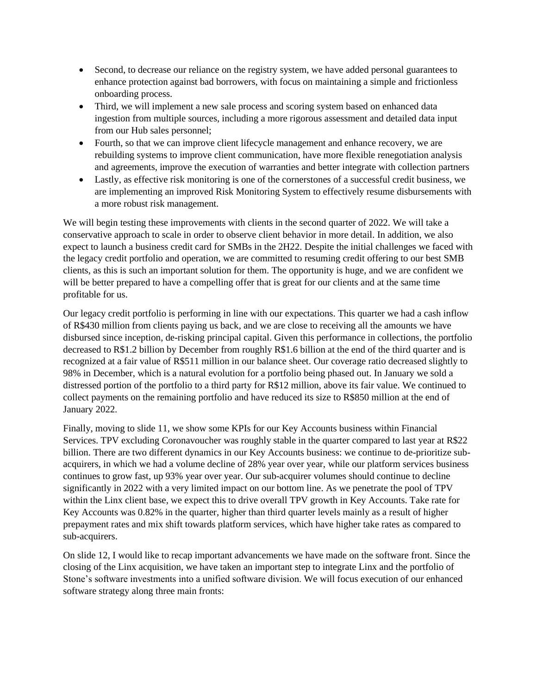- Second, to decrease our reliance on the registry system, we have added personal guarantees to enhance protection against bad borrowers, with focus on maintaining a simple and frictionless onboarding process.
- Third, we will implement a new sale process and scoring system based on enhanced data ingestion from multiple sources, including a more rigorous assessment and detailed data input from our Hub sales personnel;
- Fourth, so that we can improve client lifecycle management and enhance recovery, we are rebuilding systems to improve client communication, have more flexible renegotiation analysis and agreements, improve the execution of warranties and better integrate with collection partners
- Lastly, as effective risk monitoring is one of the cornerstones of a successful credit business, we are implementing an improved Risk Monitoring System to effectively resume disbursements with a more robust risk management.

We will begin testing these improvements with clients in the second quarter of 2022. We will take a conservative approach to scale in order to observe client behavior in more detail. In addition, we also expect to launch a business credit card for SMBs in the 2H22. Despite the initial challenges we faced with the legacy credit portfolio and operation, we are committed to resuming credit offering to our best SMB clients, as this is such an important solution for them. The opportunity is huge, and we are confident we will be better prepared to have a compelling offer that is great for our clients and at the same time profitable for us.

Our legacy credit portfolio is performing in line with our expectations. This quarter we had a cash inflow of R\$430 million from clients paying us back, and we are close to receiving all the amounts we have disbursed since inception, de-risking principal capital. Given this performance in collections, the portfolio decreased to R\$1.2 billion by December from roughly R\$1.6 billion at the end of the third quarter and is recognized at a fair value of R\$511 million in our balance sheet. Our coverage ratio decreased slightly to 98% in December, which is a natural evolution for a portfolio being phased out. In January we sold a distressed portion of the portfolio to a third party for R\$12 million, above its fair value. We continued to collect payments on the remaining portfolio and have reduced its size to R\$850 million at the end of January 2022.

Finally, moving to slide 11, we show some KPIs for our Key Accounts business within Financial Services. TPV excluding Coronavoucher was roughly stable in the quarter compared to last year at R\$22 billion. There are two different dynamics in our Key Accounts business: we continue to de-prioritize subacquirers, in which we had a volume decline of 28% year over year, while our platform services business continues to grow fast, up 93% year over year. Our sub-acquirer volumes should continue to decline significantly in 2022 with a very limited impact on our bottom line. As we penetrate the pool of TPV within the Linx client base, we expect this to drive overall TPV growth in Key Accounts. Take rate for Key Accounts was 0.82% in the quarter, higher than third quarter levels mainly as a result of higher prepayment rates and mix shift towards platform services, which have higher take rates as compared to sub-acquirers.

On slide 12, I would like to recap important advancements we have made on the software front. Since the closing of the Linx acquisition, we have taken an important step to integrate Linx and the portfolio of Stone's software investments into a unified software division. We will focus execution of our enhanced software strategy along three main fronts: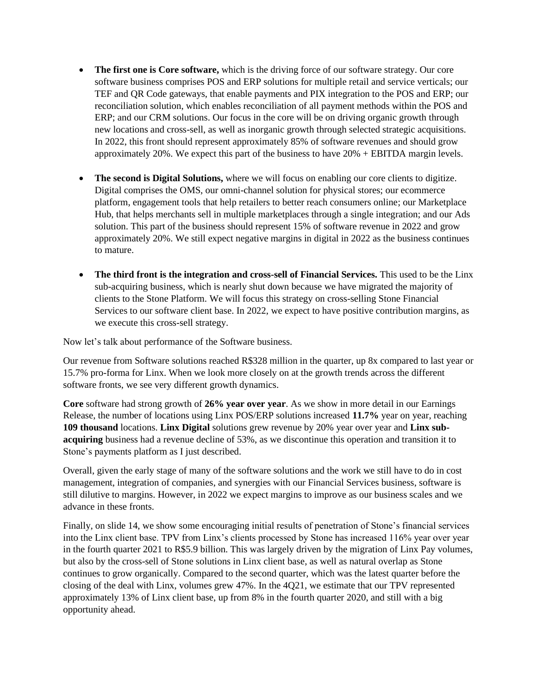- **The first one is Core software,** which is the driving force of our software strategy. Our core software business comprises POS and ERP solutions for multiple retail and service verticals; our TEF and QR Code gateways, that enable payments and PIX integration to the POS and ERP; our reconciliation solution, which enables reconciliation of all payment methods within the POS and ERP; and our CRM solutions. Our focus in the core will be on driving organic growth through new locations and cross-sell, as well as inorganic growth through selected strategic acquisitions. In 2022, this front should represent approximately 85% of software revenues and should grow approximately 20%. We expect this part of the business to have 20% + EBITDA margin levels.
- **The second is Digital Solutions,** where we will focus on enabling our core clients to digitize. Digital comprises the OMS, our omni-channel solution for physical stores; our ecommerce platform, engagement tools that help retailers to better reach consumers online; our Marketplace Hub, that helps merchants sell in multiple marketplaces through a single integration; and our Ads solution. This part of the business should represent 15% of software revenue in 2022 and grow approximately 20%. We still expect negative margins in digital in 2022 as the business continues to mature.
- **The third front is the integration and cross-sell of Financial Services.** This used to be the Linx sub-acquiring business, which is nearly shut down because we have migrated the majority of clients to the Stone Platform. We will focus this strategy on cross-selling Stone Financial Services to our software client base. In 2022, we expect to have positive contribution margins, as we execute this cross-sell strategy.

Now let's talk about performance of the Software business.

Our revenue from Software solutions reached R\$328 million in the quarter, up 8x compared to last year or 15.7% pro-forma for Linx. When we look more closely on at the growth trends across the different software fronts, we see very different growth dynamics.

**Core** software had strong growth of **26% year over year**. As we show in more detail in our Earnings Release, the number of locations using Linx POS/ERP solutions increased **11.7%** year on year, reaching **109 thousand** locations. **Linx Digital** solutions grew revenue by 20% year over year and **Linx subacquiring** business had a revenue decline of 53%, as we discontinue this operation and transition it to Stone's payments platform as I just described.

Overall, given the early stage of many of the software solutions and the work we still have to do in cost management, integration of companies, and synergies with our Financial Services business, software is still dilutive to margins. However, in 2022 we expect margins to improve as our business scales and we advance in these fronts.

Finally, on slide 14, we show some encouraging initial results of penetration of Stone's financial services into the Linx client base. TPV from Linx's clients processed by Stone has increased 116% year over year in the fourth quarter 2021 to R\$5.9 billion. This was largely driven by the migration of Linx Pay volumes, but also by the cross-sell of Stone solutions in Linx client base, as well as natural overlap as Stone continues to grow organically. Compared to the second quarter, which was the latest quarter before the closing of the deal with Linx, volumes grew 47%. In the 4Q21, we estimate that our TPV represented approximately 13% of Linx client base, up from 8% in the fourth quarter 2020, and still with a big opportunity ahead.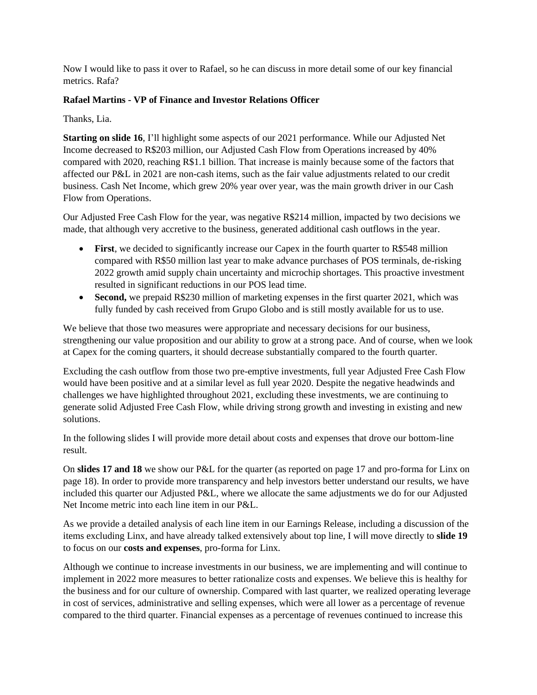Now I would like to pass it over to Rafael, so he can discuss in more detail some of our key financial metrics. Rafa?

## **Rafael Martins - VP of Finance and Investor Relations Officer**

Thanks, Lia.

**Starting on slide 16**, I'll highlight some aspects of our 2021 performance. While our Adjusted Net Income decreased to R\$203 million, our Adjusted Cash Flow from Operations increased by 40% compared with 2020, reaching R\$1.1 billion. That increase is mainly because some of the factors that affected our P&L in 2021 are non-cash items, such as the fair value adjustments related to our credit business. Cash Net Income, which grew 20% year over year, was the main growth driver in our Cash Flow from Operations.

Our Adjusted Free Cash Flow for the year, was negative R\$214 million, impacted by two decisions we made, that although very accretive to the business, generated additional cash outflows in the year.

- **First**, we decided to significantly increase our Capex in the fourth quarter to R\$548 million compared with R\$50 million last year to make advance purchases of POS terminals, de-risking 2022 growth amid supply chain uncertainty and microchip shortages. This proactive investment resulted in significant reductions in our POS lead time.
- **Second,** we prepaid R\$230 million of marketing expenses in the first quarter 2021, which was fully funded by cash received from Grupo Globo and is still mostly available for us to use.

We believe that those two measures were appropriate and necessary decisions for our business, strengthening our value proposition and our ability to grow at a strong pace. And of course, when we look at Capex for the coming quarters, it should decrease substantially compared to the fourth quarter.

Excluding the cash outflow from those two pre-emptive investments, full year Adjusted Free Cash Flow would have been positive and at a similar level as full year 2020. Despite the negative headwinds and challenges we have highlighted throughout 2021, excluding these investments, we are continuing to generate solid Adjusted Free Cash Flow, while driving strong growth and investing in existing and new solutions.

In the following slides I will provide more detail about costs and expenses that drove our bottom-line result.

On **slides 17 and 18** we show our P&L for the quarter (as reported on page 17 and pro-forma for Linx on page 18). In order to provide more transparency and help investors better understand our results, we have included this quarter our Adjusted P&L, where we allocate the same adjustments we do for our Adjusted Net Income metric into each line item in our P&L.

As we provide a detailed analysis of each line item in our Earnings Release, including a discussion of the items excluding Linx, and have already talked extensively about top line, I will move directly to **slide 19** to focus on our **costs and expenses**, pro-forma for Linx.

Although we continue to increase investments in our business, we are implementing and will continue to implement in 2022 more measures to better rationalize costs and expenses. We believe this is healthy for the business and for our culture of ownership. Compared with last quarter, we realized operating leverage in cost of services, administrative and selling expenses, which were all lower as a percentage of revenue compared to the third quarter. Financial expenses as a percentage of revenues continued to increase this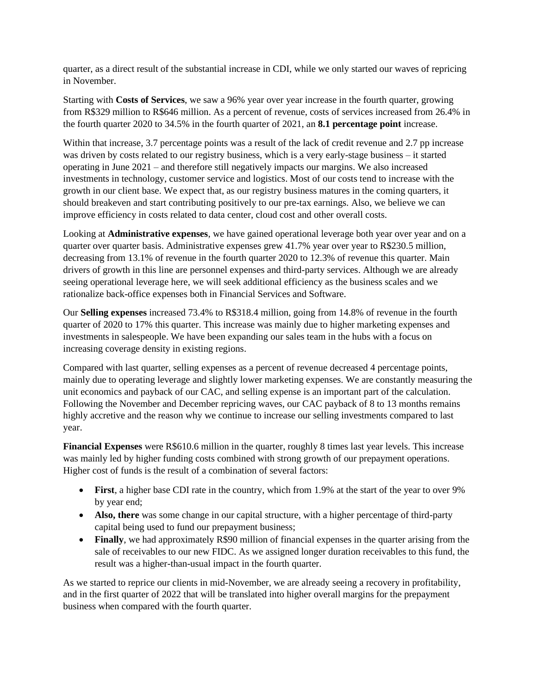quarter, as a direct result of the substantial increase in CDI, while we only started our waves of repricing in November.

Starting with **Costs of Services**, we saw a 96% year over year increase in the fourth quarter, growing from R\$329 million to R\$646 million. As a percent of revenue, costs of services increased from 26.4% in the fourth quarter 2020 to 34.5% in the fourth quarter of 2021, an **8.1 percentage point** increase.

Within that increase, 3.7 percentage points was a result of the lack of credit revenue and 2.7 pp increase was driven by costs related to our registry business, which is a very early-stage business – it started operating in June 2021 – and therefore still negatively impacts our margins. We also increased investments in technology, customer service and logistics. Most of our costs tend to increase with the growth in our client base. We expect that, as our registry business matures in the coming quarters, it should breakeven and start contributing positively to our pre-tax earnings. Also, we believe we can improve efficiency in costs related to data center, cloud cost and other overall costs.

Looking at **Administrative expenses**, we have gained operational leverage both year over year and on a quarter over quarter basis. Administrative expenses grew 41.7% year over year to R\$230.5 million, decreasing from 13.1% of revenue in the fourth quarter 2020 to 12.3% of revenue this quarter. Main drivers of growth in this line are personnel expenses and third-party services. Although we are already seeing operational leverage here, we will seek additional efficiency as the business scales and we rationalize back-office expenses both in Financial Services and Software.

Our **Selling expenses** increased 73.4% to R\$318.4 million, going from 14.8% of revenue in the fourth quarter of 2020 to 17% this quarter. This increase was mainly due to higher marketing expenses and investments in salespeople. We have been expanding our sales team in the hubs with a focus on increasing coverage density in existing regions.

Compared with last quarter, selling expenses as a percent of revenue decreased 4 percentage points, mainly due to operating leverage and slightly lower marketing expenses. We are constantly measuring the unit economics and payback of our CAC, and selling expense is an important part of the calculation. Following the November and December repricing waves, our CAC payback of 8 to 13 months remains highly accretive and the reason why we continue to increase our selling investments compared to last year.

**Financial Expenses** were R\$610.6 million in the quarter, roughly 8 times last year levels. This increase was mainly led by higher funding costs combined with strong growth of our prepayment operations. Higher cost of funds is the result of a combination of several factors:

- **First**, a higher base CDI rate in the country, which from 1.9% at the start of the year to over 9% by year end;
- **Also, there** was some change in our capital structure, with a higher percentage of third-party capital being used to fund our prepayment business;
- **Finally**, we had approximately R\$90 million of financial expenses in the quarter arising from the sale of receivables to our new FIDC. As we assigned longer duration receivables to this fund, the result was a higher-than-usual impact in the fourth quarter.

As we started to reprice our clients in mid-November, we are already seeing a recovery in profitability, and in the first quarter of 2022 that will be translated into higher overall margins for the prepayment business when compared with the fourth quarter.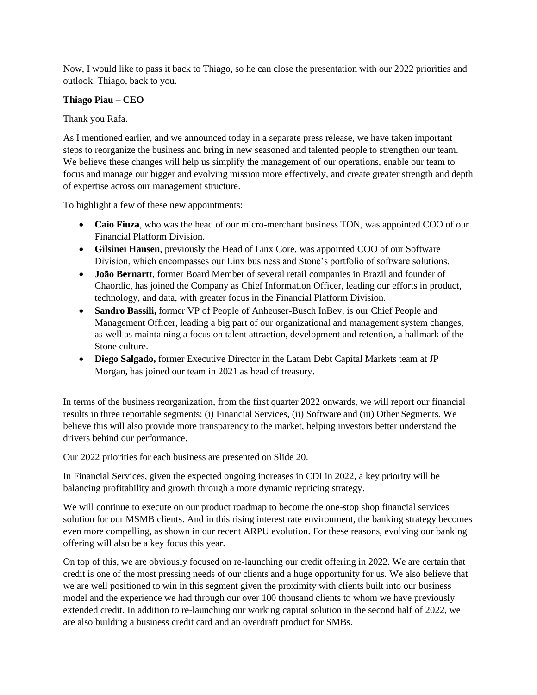Now, I would like to pass it back to Thiago, so he can close the presentation with our 2022 priorities and outlook. Thiago, back to you.

### **Thiago Piau – CEO**

Thank you Rafa.

As I mentioned earlier, and we announced today in a separate press release, we have taken important steps to reorganize the business and bring in new seasoned and talented people to strengthen our team. We believe these changes will help us simplify the management of our operations, enable our team to focus and manage our bigger and evolving mission more effectively, and create greater strength and depth of expertise across our management structure.

To highlight a few of these new appointments:

- **Caio Fiuza**, who was the head of our micro-merchant business TON, was appointed COO of our Financial Platform Division.
- **Gilsinei Hansen**, previously the Head of Linx Core, was appointed COO of our Software Division, which encompasses our Linx business and Stone's portfolio of software solutions.
- **João Bernartt**, former Board Member of several retail companies in Brazil and founder of Chaordic, has joined the Company as Chief Information Officer, leading our efforts in product, technology, and data, with greater focus in the Financial Platform Division.
- **Sandro Bassili,** former VP of People of Anheuser-Busch InBev, is our Chief People and Management Officer, leading a big part of our organizational and management system changes, as well as maintaining a focus on talent attraction, development and retention, a hallmark of the Stone culture.
- **Diego Salgado,** former Executive Director in the Latam Debt Capital Markets team at JP Morgan, has joined our team in 2021 as head of treasury.

In terms of the business reorganization, from the first quarter 2022 onwards, we will report our financial results in three reportable segments: (i) Financial Services, (ii) Software and (iii) Other Segments. We believe this will also provide more transparency to the market, helping investors better understand the drivers behind our performance.

Our 2022 priorities for each business are presented on Slide 20.

In Financial Services, given the expected ongoing increases in CDI in 2022, a key priority will be balancing profitability and growth through a more dynamic repricing strategy.

We will continue to execute on our product roadmap to become the one-stop shop financial services solution for our MSMB clients. And in this rising interest rate environment, the banking strategy becomes even more compelling, as shown in our recent ARPU evolution. For these reasons, evolving our banking offering will also be a key focus this year.

On top of this, we are obviously focused on re-launching our credit offering in 2022. We are certain that credit is one of the most pressing needs of our clients and a huge opportunity for us. We also believe that we are well positioned to win in this segment given the proximity with clients built into our business model and the experience we had through our over 100 thousand clients to whom we have previously extended credit. In addition to re-launching our working capital solution in the second half of 2022, we are also building a business credit card and an overdraft product for SMBs.